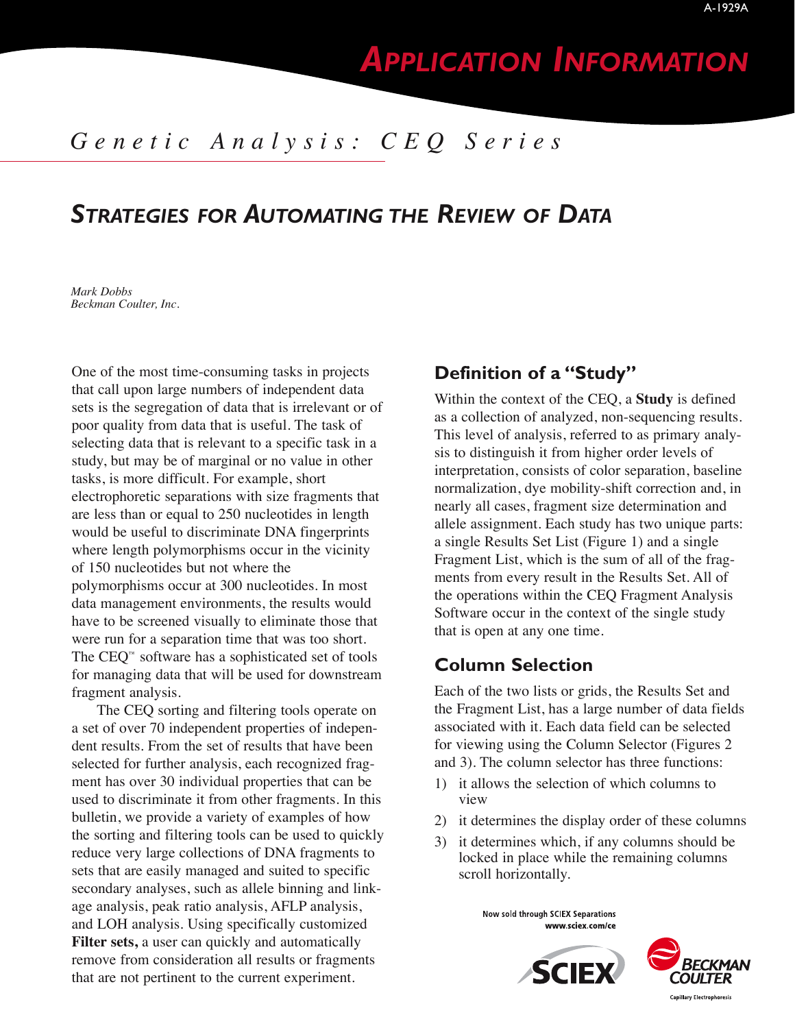# *APPLICATION INFORMATION*

## *Genetic Analysis: CEQ Series*

## *STRATEGIES FOR AUTOMATING THE REVIEW OF DATA*

*Mark Dobbs Beckman Coulter, Inc.*

One of the most time-consuming tasks in projects that call upon large numbers of independent data sets is the segregation of data that is irrelevant or of poor quality from data that is useful. The task of selecting data that is relevant to a specific task in a study, but may be of marginal or no value in other tasks, is more difficult. For example, short electrophoretic separations with size fragments that are less than or equal to 250 nucleotides in length would be useful to discriminate DNA fingerprints where length polymorphisms occur in the vicinity of 150 nucleotides but not where the polymorphisms occur at 300 nucleotides. In most data management environments, the results would have to be screened visually to eliminate those that were run for a separation time that was too short. The CEQ™ software has a sophisticated set of tools for managing data that will be used for downstream fragment analysis.

The CEQ sorting and filtering tools operate on a set of over 70 independent properties of independent results. From the set of results that have been selected for further analysis, each recognized fragment has over 30 individual properties that can be used to discriminate it from other fragments. In this bulletin, we provide a variety of examples of how the sorting and filtering tools can be used to quickly reduce very large collections of DNA fragments to sets that are easily managed and suited to specific secondary analyses, such as allele binning and linkage analysis, peak ratio analysis, AFLP analysis, and LOH analysis. Using specifically customized **Filter sets,** a user can quickly and automatically remove from consideration all results or fragments that are not pertinent to the current experiment.

## **Definition of a "Study"**

Within the context of the CEQ, a **Study** is defined as a collection of analyzed, non-sequencing results. This level of analysis, referred to as primary analysis to distinguish it from higher order levels of interpretation, consists of color separation, baseline normalization, dye mobility-shift correction and, in nearly all cases, fragment size determination and allele assignment. Each study has two unique parts: a single Results Set List (Figure 1) and a single Fragment List, which is the sum of all of the fragments from every result in the Results Set. All of the operations within the CEQ Fragment Analysis Software occur in the context of the single study that is open at any one time.

## **Column Selection**

Each of the two lists or grids, the Results Set and the Fragment List, has a large number of data fields associated with it. Each data field can be selected for viewing using the Column Selector (Figures 2 and 3). The column selector has three functions:

- 1) it allows the selection of which columns to view
- 2) it determines the display order of these columns
- 3) it determines which, if any columns should be locked in place while the remaining columns scroll horizontally.

Now sold through SCIEX Separations www.sciex.com/ce



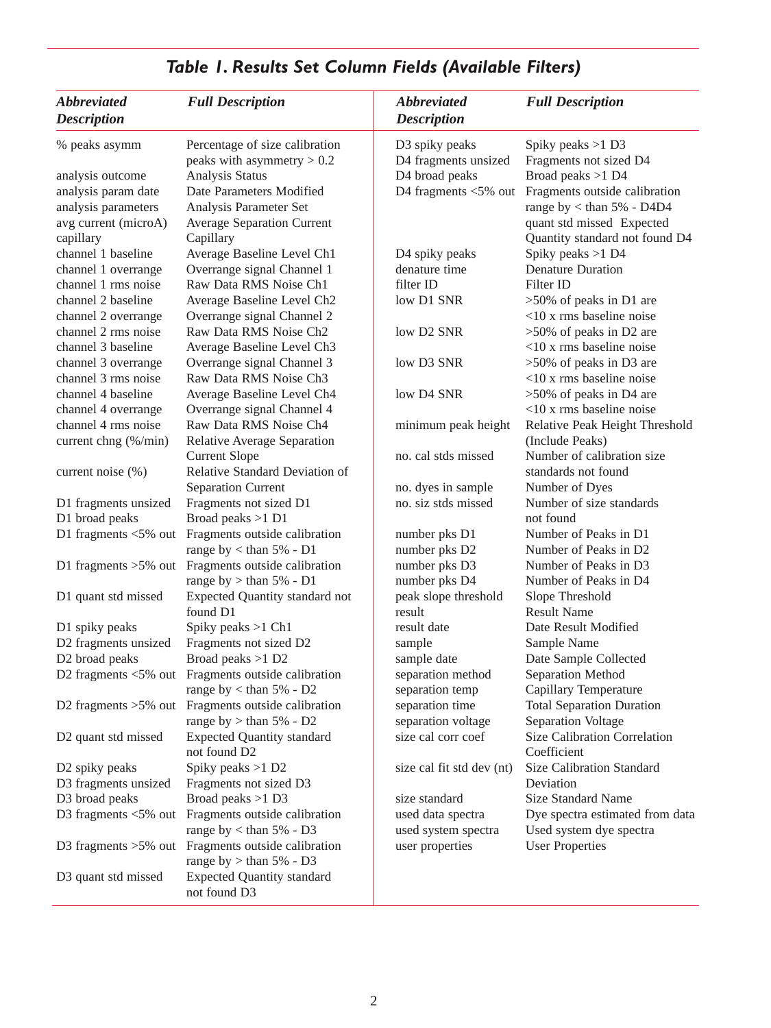| <i><b>Abbreviated</b></i><br><b>Full Description</b><br><b>Description</b> |                                                    | <b>Abbreviated</b><br><b>Description</b> | <b>Full Description</b>          |  |  |
|----------------------------------------------------------------------------|----------------------------------------------------|------------------------------------------|----------------------------------|--|--|
| % peaks asymm                                                              | Percentage of size calibration                     | D3 spiky peaks                           | Spiky peaks $>1$ D3              |  |  |
|                                                                            | peaks with asymmetry $> 0.2$                       | D4 fragments unsized                     | Fragments not sized D4           |  |  |
| analysis outcome                                                           | Analysis Status                                    | D4 broad peaks                           | Broad peaks >1 D4                |  |  |
| analysis param date                                                        | Date Parameters Modified                           | D4 fragments $<$ 5% out                  | Fragments outside calibration    |  |  |
| analysis parameters                                                        | Analysis Parameter Set                             |                                          | range by $<$ than 5% - D4D4      |  |  |
| avg current (microA)                                                       | <b>Average Separation Current</b>                  |                                          | quant std missed Expected        |  |  |
| capillary                                                                  | Capillary                                          |                                          | Quantity standard not found D4   |  |  |
| channel 1 baseline                                                         | Average Baseline Level Ch1                         | D4 spiky peaks                           | Spiky peaks >1 D4                |  |  |
| channel 1 overrange                                                        | Overrange signal Channel 1                         | denature time                            | <b>Denature Duration</b>         |  |  |
| channel 1 rms noise                                                        | Raw Data RMS Noise Ch1                             | filter ID                                | Filter ID                        |  |  |
| channel 2 baseline                                                         | Average Baseline Level Ch2                         | low D1 SNR                               | $>50\%$ of peaks in D1 are       |  |  |
| channel 2 overrange                                                        | Overrange signal Channel 2                         |                                          | $<10$ x rms baseline noise       |  |  |
| channel 2 rms noise                                                        | Raw Data RMS Noise Ch <sub>2</sub>                 | low D2 SNR                               | $>50\%$ of peaks in D2 are       |  |  |
| channel 3 baseline                                                         | Average Baseline Level Ch3                         |                                          | $<10$ x rms baseline noise       |  |  |
| channel 3 overrange                                                        | Overrange signal Channel 3                         | low D3 SNR                               | $>50\%$ of peaks in D3 are       |  |  |
| channel 3 rms noise                                                        | Raw Data RMS Noise Ch <sub>3</sub>                 |                                          | $<10$ x rms baseline noise       |  |  |
| channel 4 baseline                                                         | Average Baseline Level Ch4                         | low D4 SNR                               | $>50\%$ of peaks in D4 are       |  |  |
| channel 4 overrange                                                        | Overrange signal Channel 4                         |                                          | $<$ 10 x rms baseline noise      |  |  |
| channel 4 rms noise                                                        | Raw Data RMS Noise Ch4                             | minimum peak height                      | Relative Peak Height Threshold   |  |  |
| current chng (%/min)                                                       | Relative Average Separation                        |                                          | (Include Peaks)                  |  |  |
|                                                                            | <b>Current Slope</b>                               | no. cal stds missed                      | Number of calibration size       |  |  |
| current noise (%)                                                          | Relative Standard Deviation of                     |                                          | standards not found              |  |  |
|                                                                            | Separation Current                                 | no. dyes in sample                       | Number of Dyes                   |  |  |
| D1 fragments unsized                                                       | Fragments not sized D1                             | no. siz stds missed                      | Number of size standards         |  |  |
| D1 broad peaks                                                             | Broad peaks >1 D1                                  |                                          | not found                        |  |  |
|                                                                            | D1 fragments <5% out Fragments outside calibration | number pks D1                            | Number of Peaks in D1            |  |  |
|                                                                            | range by $<$ than 5% - D1                          | number pks D2                            | Number of Peaks in D2            |  |  |
|                                                                            | D1 fragments >5% out Fragments outside calibration | number pks D3                            | Number of Peaks in D3            |  |  |
|                                                                            | range by $>$ than 5% - D1                          | number pks D4                            | Number of Peaks in D4            |  |  |
| D1 quant std missed                                                        | <b>Expected Quantity standard not</b>              | peak slope threshold                     | Slope Threshold                  |  |  |
|                                                                            | found D1                                           | result                                   | <b>Result Name</b>               |  |  |
| D1 spiky peaks                                                             | Spiky peaks >1 Ch1                                 | result date                              | Date Result Modified             |  |  |
| D2 fragments unsized                                                       | Fragments not sized D2                             | sample                                   | Sample Name                      |  |  |
| D2 broad peaks                                                             | Broad peaks >1 D2                                  | sample date                              | Date Sample Collected            |  |  |
| D2 fragments $<$ 5% out                                                    | Fragments outside calibration                      | separation method                        | Separation Method                |  |  |
|                                                                            | range by $<$ than 5% - D2                          | separation temp                          | Capillary Temperature            |  |  |
|                                                                            | D2 fragments >5% out Fragments outside calibration | separation time                          | <b>Total Separation Duration</b> |  |  |
|                                                                            | range by $>$ than 5% - D2                          | separation voltage                       | Separation Voltage               |  |  |
| D <sub>2</sub> quant std missed                                            | <b>Expected Quantity standard</b>                  | size cal corr coef                       | Size Calibration Correlation     |  |  |
|                                                                            | not found D2                                       |                                          | Coefficient                      |  |  |
| D2 spiky peaks                                                             | Spiky peaks >1 D2                                  | size cal fit std dev (nt)                | Size Calibration Standard        |  |  |
| D3 fragments unsized                                                       | Fragments not sized D3                             |                                          | Deviation                        |  |  |
| D3 broad peaks                                                             | Broad peaks >1 D3                                  | size standard                            | Size Standard Name               |  |  |
|                                                                            | D3 fragments <5% out Fragments outside calibration | used data spectra                        | Dye spectra estimated from data  |  |  |
|                                                                            | range by $<$ than 5% - D3                          | used system spectra                      | Used system dye spectra          |  |  |
|                                                                            | D3 fragments >5% out Fragments outside calibration | user properties                          | <b>User Properties</b>           |  |  |
|                                                                            | range by $>$ than 5% - D3                          |                                          |                                  |  |  |
| D3 quant std missed                                                        | <b>Expected Quantity standard</b>                  |                                          |                                  |  |  |
|                                                                            | not found D3                                       |                                          |                                  |  |  |

## *Table 1. Results Set Column Fields (Available Filters)*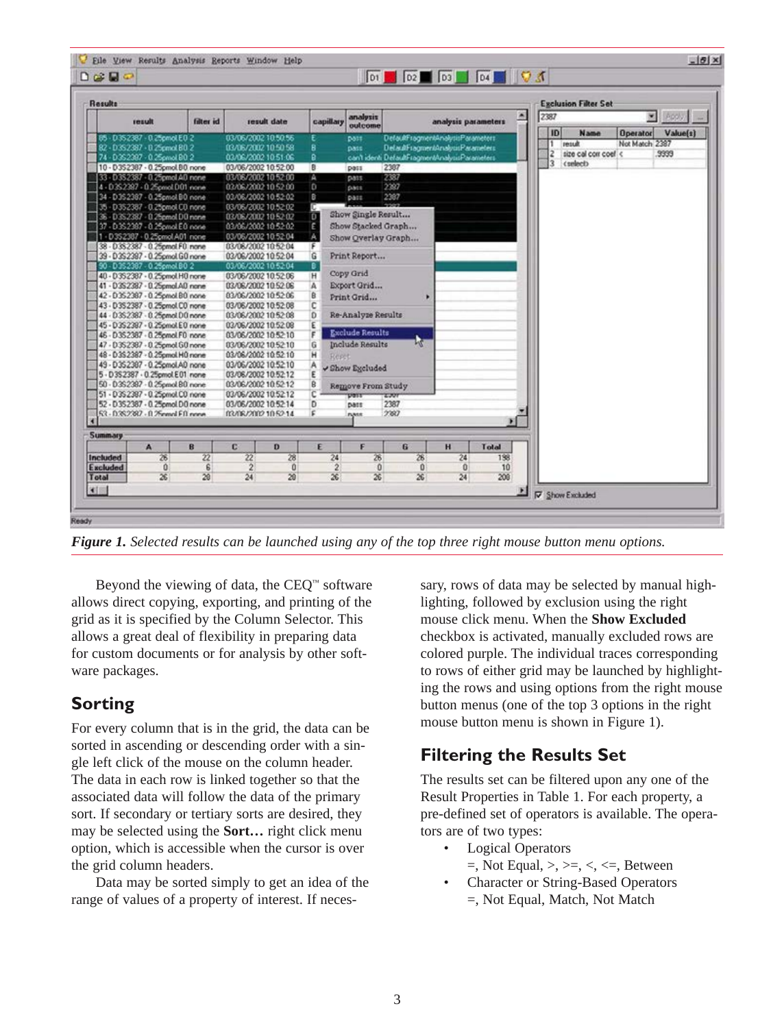| Results                           |                   |                         |                 |                |                                                |                                   |                                 |                |                     |   | <b>Exclusion Filter Set</b>                                        |
|-----------------------------------|-------------------|-------------------------|-----------------|----------------|------------------------------------------------|-----------------------------------|---------------------------------|----------------|---------------------|---|--------------------------------------------------------------------|
| result                            | <b>filter</b> id. |                         | result date     | capillary      | analysis<br>outcome                            |                                   |                                 |                | analysis parameters | 高 | 2387<br><b>M</b> Postyl                                            |
| 85 - D3S2387 - 0.25pmol E0.2      |                   | 03/06/2002 10:50:56     |                 |                | DOTT.                                          | DefaultFragmentAnalysisParameters |                                 |                |                     |   | ID<br>Value(i)<br><b>Name</b><br><b>Operator</b><br>Not Match 2387 |
| 82-D352387-025pmol B02            |                   | 03/06/2002 10:50:58     |                 | 8              | pass                                           | Detaulf ragmentAnalysisParameters |                                 |                |                     |   | result<br>1                                                        |
| 74 - D3S2387 - 0.25pmol BO 2      |                   | 03/06/2002 10:51:06     |                 | ā              | can't identi DefaultFragmentAnalysisParameters |                                   |                                 |                |                     |   | $\frac{2}{3}$<br>size cal corr coef <<br>9999<br>contacts          |
| 10 - D3S2387 - 0.25pmol.BO none   |                   | 03/06/2002 10:52:00     |                 | Ð              | pass                                           | 2387                              |                                 |                |                     |   |                                                                    |
| 33 - D3S2387 - 0.25pmol AD none   |                   | 03/06/2002 10:52:00     |                 | A              | D011                                           | 2387                              |                                 |                |                     |   |                                                                    |
| 4 - 0352387 - 0.25pmol.D01 none   |                   | 03/06/2002 10:52:00     |                 | D              | pace                                           | 2397                              |                                 |                |                     |   |                                                                    |
| 34 - D3S2387 - 0.25pmol B0 none   |                   | 03/06/2002 10:52:02     |                 | B.             | pass.                                          | 2387                              |                                 |                |                     |   |                                                                    |
| 35 - D352387 - 0.25pmol C0 none   |                   | 03/06/2002 10:52:02     |                 | σ              |                                                |                                   |                                 |                |                     |   |                                                                    |
| 36 - D3S2387 - 0.25pmol DO none   |                   | 03/06/2002 10:52:02     |                 | o              | Show Single Result                             |                                   |                                 |                |                     |   |                                                                    |
| 37 - D352387 - 0.25pmol.E0 none   |                   | 03/06/2002 10:52:02     |                 |                | Show Stacked Graph                             |                                   |                                 |                |                     |   |                                                                    |
| 1 - D352387 - 0.25pmol.A01 none   |                   | 03/06/2002 10:52:04     |                 |                | Show Overlay Graph                             |                                   |                                 |                |                     |   |                                                                    |
| 38 - D3S2387 - 0.25pmal F0 nane   |                   | 03/08/2002 10:52:04     |                 |                |                                                |                                   |                                 |                |                     |   |                                                                    |
| 39 - D3S2387 - 0.25cmol G0 none   |                   | 03/06/2002 10:52:04     |                 | G              | Print Report                                   |                                   |                                 |                |                     |   |                                                                    |
| 90 - D352387 - 0.25pmol.B0 2      |                   | 03/06/2002 10:52:04     |                 | в              |                                                |                                   |                                 |                |                     |   |                                                                    |
| 40 - D3S2387 - 0.25pmol.H0 none   |                   | 03/06/2002 10:52:06     |                 | н              | Copy Grid                                      |                                   |                                 |                |                     |   |                                                                    |
| 41 - D3S2387 - 0.25pmol.AD nane   |                   | 03/06/2002 10:52:06     |                 | А              | Export Grid                                    |                                   |                                 |                |                     |   |                                                                    |
| 42 - D352387 - 0.25pmol.B0 none   |                   | 03/06/2002 10:52:06     |                 | B              | Print Grid                                     |                                   |                                 |                |                     |   |                                                                    |
| 43 - D3S2387 - 0.25pmol CO none   |                   | 03/06/2002 10:52:08     |                 | c              |                                                |                                   |                                 |                |                     |   |                                                                    |
| 44 - D3S2387 - 0.25pmol DO none   |                   | 03/06/2002 10:52:08     |                 | Ď              | Re-Analyze Results                             |                                   |                                 |                |                     |   |                                                                    |
| 45 - D352387 - 0.25pmol.E0 none   |                   | 03/06/2002 10:52:08     |                 | Ε              |                                                |                                   |                                 |                |                     |   |                                                                    |
| 46 - D352387 - 0.25 cm ol F0 none |                   | 03/06/2002 10:52:10     |                 | ę              | <b>Exclude Results</b>                         |                                   |                                 |                |                     |   |                                                                    |
| 47 - D3S2387 - 0.25pmol GO none   |                   | 03/06/2002 10:52:10     |                 | G              | Include Results                                |                                   | Ŀ٧                              |                |                     |   |                                                                    |
| 48 - D3S2387 - 0.25pmol H0 none   |                   | 03/06/2002 10:52:10     |                 | н<br>Reset     |                                                |                                   |                                 |                |                     |   |                                                                    |
| 49 - D3S2387 - 0.25cmol.AD none   |                   | 03/06/2002 10:52:10     |                 | A              | √ Show Excluded                                |                                   |                                 |                |                     |   |                                                                    |
| 5 - D3S2387 - 0.25pmol E01 none   |                   | 03/06/2002 10:52:12     |                 |                |                                                |                                   |                                 |                |                     |   |                                                                    |
| 50 - 03\$2387 - 0.25pmol.80 none  |                   | 03/06/2002 10:52:12     |                 | ₿              | Remove From Study                              |                                   |                                 |                |                     |   |                                                                    |
| 51 - D3S2387 - 0.25pmol.CD none   |                   | 03/06/2002 10:52:12     |                 | c              | ידמט                                           | 2,000                             |                                 |                |                     |   |                                                                    |
| 52 - D3S2387 - 0.25pmol DO none   |                   | 03/06/2002 10:52:14     |                 | D              | patt                                           | 2387                              |                                 |                |                     |   |                                                                    |
| 53 - D3S2387 - 0.25mmd Eft none   |                   | 03/06/2002 10:52:14     |                 | ٤              | nass                                           | 2307                              |                                 |                |                     |   |                                                                    |
|                                   |                   |                         |                 |                |                                                |                                   |                                 |                | ×                   |   |                                                                    |
| Summary                           |                   |                         |                 |                |                                                |                                   |                                 |                |                     |   |                                                                    |
| A                                 | B                 | C                       | D               | E              | F                                              | G                                 |                                 | H              | Total               |   |                                                                    |
| 26<br>Included                    | 22                | $\overline{\mathbf{z}}$ | $\overline{28}$ | 24             | 26                                             |                                   | 26                              | 24             | 198                 |   |                                                                    |
| Excluded<br>O.<br>26              | £<br>28           | $\overline{2}$<br>24    | Ŭ<br>28         | $\overline{2}$ | 0<br>26                                        |                                   | $\mathbf{0}$<br>$\overline{26}$ | $\bf{0}$<br>24 | 10<br>208           |   |                                                                    |
| Total                             |                   |                         |                 | 26             |                                                |                                   |                                 |                |                     |   |                                                                    |

*Figure 1. Selected results can be launched using any of the top three right mouse button menu options.*

Beyond the viewing of data, the CEQ™ software allows direct copying, exporting, and printing of the grid as it is specified by the Column Selector. This allows a great deal of flexibility in preparing data for custom documents or for analysis by other software packages.

## **Sorting**

For every column that is in the grid, the data can be sorted in ascending or descending order with a single left click of the mouse on the column header. The data in each row is linked together so that the associated data will follow the data of the primary sort. If secondary or tertiary sorts are desired, they may be selected using the **Sort…** right click menu option, which is accessible when the cursor is over the grid column headers.

Data may be sorted simply to get an idea of the range of values of a property of interest. If necessary, rows of data may be selected by manual highlighting, followed by exclusion using the right mouse click menu. When the **Show Excluded** checkbox is activated, manually excluded rows are colored purple. The individual traces corresponding to rows of either grid may be launched by highlighting the rows and using options from the right mouse button menus (one of the top 3 options in the right mouse button menu is shown in Figure 1).

## **Filtering the Results Set**

The results set can be filtered upon any one of the Result Properties in Table 1. For each property, a pre-defined set of operators is available. The operators are of two types:

- **Logical Operators** 
	- $=$ , Not Equal,  $\geq, \geq, \leq, \leq,$  Between
- Character or String-Based Operators =, Not Equal, Match, Not Match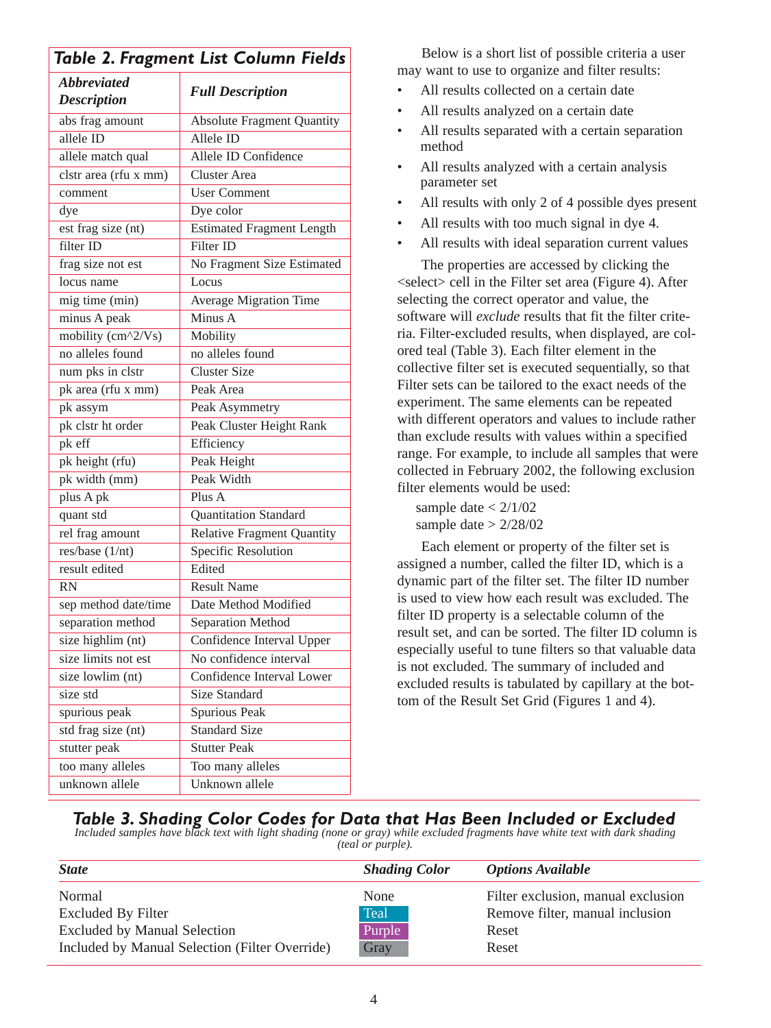| Table 2. Fragment List Column Fields     |                                   |  |  |  |  |
|------------------------------------------|-----------------------------------|--|--|--|--|
| <b>Abbreviated</b><br><b>Description</b> | <b>Full Description</b>           |  |  |  |  |
| abs frag amount                          | <b>Absolute Fragment Quantity</b> |  |  |  |  |
| allele ID                                | Allele ID                         |  |  |  |  |
| allele match qual                        | Allele ID Confidence              |  |  |  |  |
| clstr area (rfu x mm)                    | <b>Cluster Area</b>               |  |  |  |  |
| comment                                  | <b>User Comment</b>               |  |  |  |  |
| dye                                      | Dye color                         |  |  |  |  |
| est frag size (nt)                       | <b>Estimated Fragment Length</b>  |  |  |  |  |
| filter ID                                | Filter ID                         |  |  |  |  |
| frag size not est                        | No Fragment Size Estimated        |  |  |  |  |
| locus name                               | Locus                             |  |  |  |  |
| mig time (min)                           | Average Migration Time            |  |  |  |  |
| minus A peak                             | Minus A                           |  |  |  |  |
| mobility (cm^2/Vs)                       | Mobility                          |  |  |  |  |
| no alleles found                         | no alleles found                  |  |  |  |  |
| num pks in clstr                         | <b>Cluster Size</b>               |  |  |  |  |
| pk area (rfu x mm)                       | Peak Area                         |  |  |  |  |
| pk assym                                 | Peak Asymmetry                    |  |  |  |  |
| pk clstr ht order                        | Peak Cluster Height Rank          |  |  |  |  |
| pk eff                                   | Efficiency                        |  |  |  |  |
| pk height (rfu)                          | Peak Height                       |  |  |  |  |
| pk width (mm)                            | Peak Width                        |  |  |  |  |
| plus A pk                                | Plus A                            |  |  |  |  |
| quant std                                | Quantitation Standard             |  |  |  |  |
| rel frag amount                          | <b>Relative Fragment Quantity</b> |  |  |  |  |
| res/base $(1/nt)$                        | Specific Resolution               |  |  |  |  |
| result edited                            | Edited                            |  |  |  |  |
| RN                                       | <b>Result Name</b>                |  |  |  |  |
| sep method date/time                     | Date Method Modified              |  |  |  |  |
| separation method                        | Separation Method                 |  |  |  |  |
| size highlim (nt)                        | Confidence Interval Upper         |  |  |  |  |
| size limits not est                      | No confidence interval            |  |  |  |  |
| size lowlim (nt)                         | Confidence Interval Lower         |  |  |  |  |
| size std                                 | <b>Size Standard</b>              |  |  |  |  |
| spurious peak                            | Spurious Peak                     |  |  |  |  |
| std frag size (nt)                       | <b>Standard Size</b>              |  |  |  |  |
| stutter peak                             | <b>Stutter Peak</b>               |  |  |  |  |
| too many alleles                         | Too many alleles                  |  |  |  |  |
| unknown allele                           | Unknown allele                    |  |  |  |  |

Below is a short list of possible criteria a user may want to use to organize and filter results:

- All results collected on a certain date
- All results analyzed on a certain date
- All results separated with a certain separation method
- All results analyzed with a certain analysis parameter set
- All results with only 2 of 4 possible dyes present
- All results with too much signal in dye 4.
- All results with ideal separation current values

The properties are accessed by clicking the <select> cell in the Filter set area (Figure 4). After selecting the correct operator and value, the software will *exclude* results that fit the filter criteria. Filter-excluded results, when displayed, are colored teal (Table 3). Each filter element in the collective filter set is executed sequentially, so that Filter sets can be tailored to the exact needs of the experiment. The same elements can be repeated with different operators and values to include rather than exclude results with values within a specified range. For example, to include all samples that were collected in February 2002, the following exclusion filter elements would be used:

sample date  $< 2/1/02$ sample date  $> 2/28/02$ 

Each element or property of the filter set is assigned a number, called the filter ID, which is a dynamic part of the filter set. The filter ID number is used to view how each result was excluded. The filter ID property is a selectable column of the result set, and can be sorted. The filter ID column is especially useful to tune filters so that valuable data is not excluded. The summary of included and excluded results is tabulated by capillary at the bottom of the Result Set Grid (Figures 1 and 4).

## *Table 3. Shading Color Codes for Data that Has Been Included or Excluded Included samples have black text with light shading (none or gray) while excluded fragments have white text with dark shading*

*(teal or purple).*

| <b>State</b>                                   | <b>Shading Color</b> | <b>Options Available</b>           |
|------------------------------------------------|----------------------|------------------------------------|
| Normal                                         | None                 | Filter exclusion, manual exclusion |
| <b>Excluded By Filter</b>                      | Teal                 | Remove filter, manual inclusion    |
| <b>Excluded by Manual Selection</b>            | Purple               | Reset                              |
| Included by Manual Selection (Filter Override) | Gray                 | Reset                              |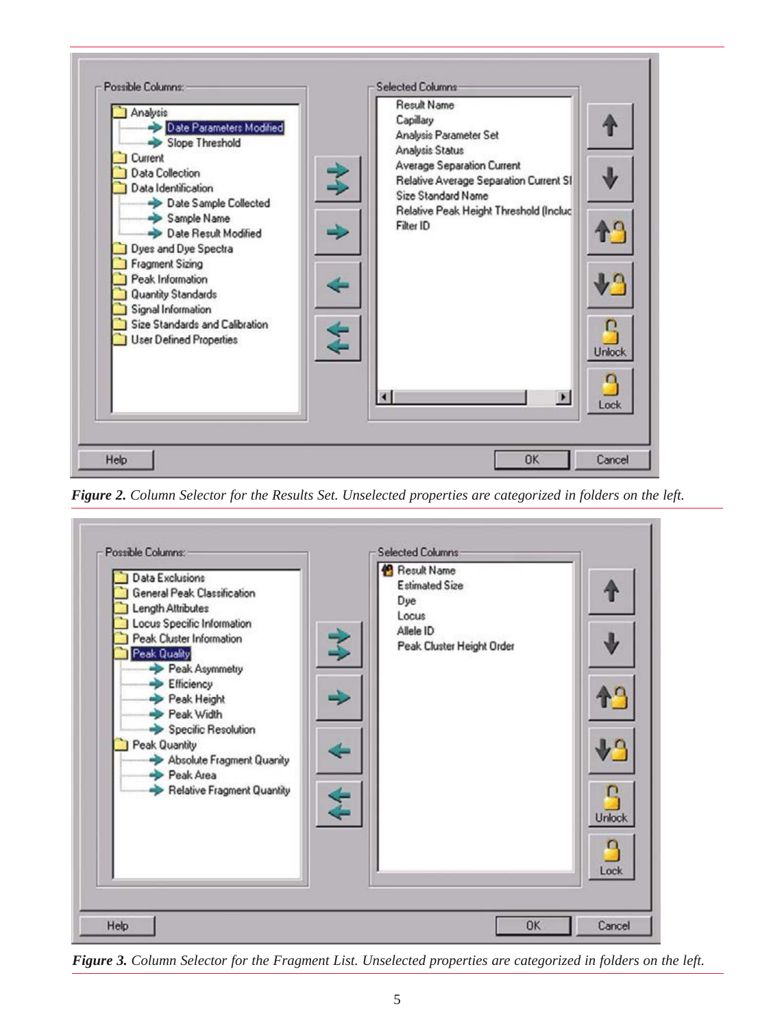

*Figure 2. Column Selector for the Results Set. Unselected properties are categorized in folders on the left.*



*Figure 3. Column Selector for the Fragment List. Unselected properties are categorized in folders on the left.*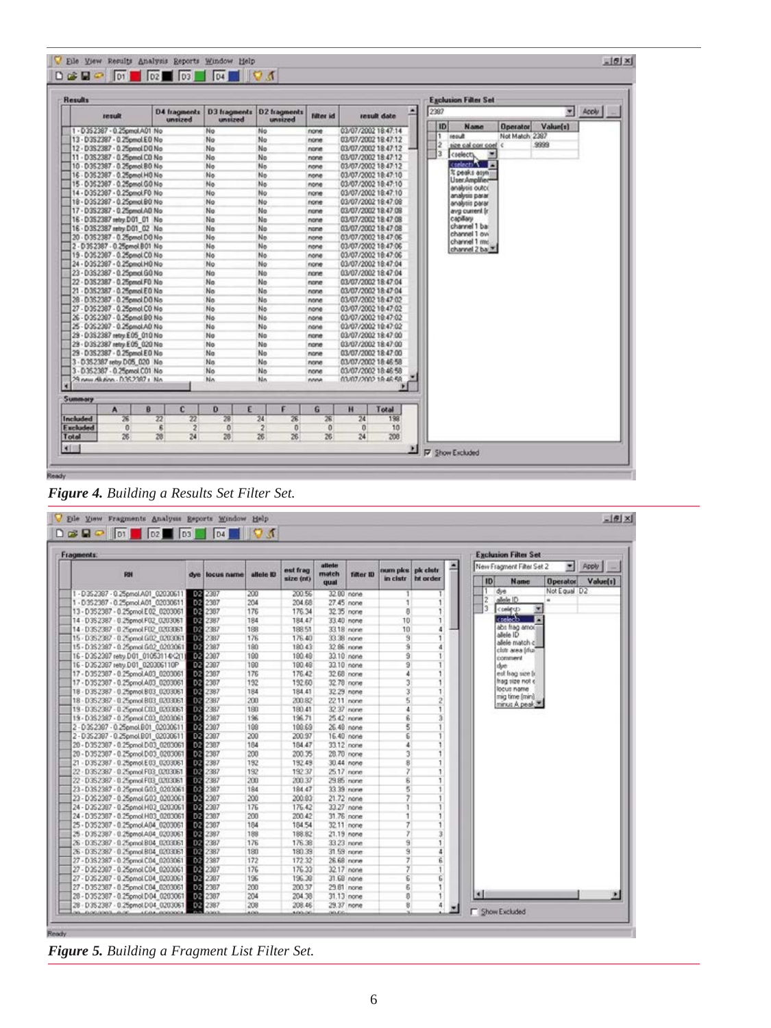| <b>Results</b>                   |                                    |                         |                                     |            |                      |                  |      | <b>Exclusion Filter Set</b>         |                |          |                            |
|----------------------------------|------------------------------------|-------------------------|-------------------------------------|------------|----------------------|------------------|------|-------------------------------------|----------------|----------|----------------------------|
| result                           | D4 fragments<br>unsized            | D3 tragments<br>unsized | D2 fragments<br>unsized             | filter id. |                      | ۰<br>result date | 2387 |                                     |                |          | $\frac{1}{\sqrt{2}}$ Accly |
| 1 - D352387 - 0.25pmol.A01 No    |                                    | No                      | No                                  | none       | 03/07/2002 18:47:14  |                  |      | ID<br>Name                          | Operator       | Value(s) |                            |
| 13 - D3S2387 - 0.25pmol.E.O.No   |                                    | No                      | No                                  | none       | 03/07/2002 18:47:12  |                  |      | <b>Bueno</b>                        | Not Match 2387 |          |                            |
| 12 - D3S2387 - 0.25pmol.DO No    |                                    | No                      | No                                  | none       | 03/07/2002 18:47:12  |                  |      | ž<br>leos nos les esti              |                | 9999     |                            |
| 11 - D3S2387 - 0.25pmol CO No    |                                    | No                      | No                                  | none       | 03/07/2002 18:47:12  |                  |      | $\overline{\mathbf{3}}$<br>crelecty |                |          |                            |
| 10 - D352387 - 0.25pmol.BO No    |                                    | No                      | No                                  | none       | 03/07/2002 18:47:12  |                  |      | <b>Contact: T</b>                   |                |          |                            |
| 16 - D352387 - 0.25pmol H0 No    |                                    | No                      | No                                  | none       | 03/07/2002 18:47:10  |                  |      | % peaks asyn.                       |                |          |                            |
| 15 - D3S2387 - 0.25pmol GO No    |                                    | No                      | No                                  | none       | 03/07/2002 18:47:10  |                  |      | User Amplifier-<br>analysis outco   |                |          |                            |
| 14 - D352387 - 0.25pmol.F0 No    |                                    | No                      | No                                  | none       | 03/07/2002 18:47:10  |                  |      | analysis parar                      |                |          |                            |
| 18 - D352387 - 0.25pmol.B0 No    |                                    | No                      | No                                  | none       | 03/07/2002 18:47:08  |                  |      | analysis parar                      |                |          |                            |
| 17 - D3S2387 - 0.25pmol.AD No.   |                                    | No                      | No                                  | none       | 03/07/2002 18:47:08  |                  |      | avg current in                      |                |          |                            |
| 16 - D352387 retry.D01 01 No     |                                    | No                      | No                                  | none       | 03/07/2002 18:47:08  |                  |      | сардагу                             |                |          |                            |
| 16 - D352387 retry D01_02 No     |                                    | No                      | No                                  | none       | 03/07/2002 18:47:08  |                  |      | channel 1 ba:                       |                |          |                            |
| 20 - D3S2387 - 0.25pmol DO No    |                                    | No                      | No                                  | none       | 03/07/2002 18:47:06  |                  |      | channel 1 ov-<br>channel 1 mm       |                |          |                            |
| 2 - D352387 - 0.25pmol.B01 No    |                                    | No.                     | No                                  | none       | 03/07/2002 18:47:06  |                  |      | channel 2 ba                        |                |          |                            |
| 19 - D352387 - 0.25pmol CO No    |                                    | No                      | No                                  | none       | 03/07/2002 18:47:06  |                  |      |                                     |                |          |                            |
| 24 - D352387 - 0.25pmol.H0 No    |                                    | No                      | No                                  | none       | 03/07/2002 18:47:04  |                  |      |                                     |                |          |                            |
| 23 - D3S2387 - 0.25pmol GO No    |                                    | No                      | No                                  | none       | 03/07/2002 18:47:04  |                  |      |                                     |                |          |                            |
| 22 - D3S2387 - 0.25pmol.FO.No    |                                    | No                      | No                                  | none       | 03/07/2002 18:47:04  |                  |      |                                     |                |          |                            |
| 21 - D352387 - 0.25pmol EO No    |                                    | No.                     | No                                  | none       | 03/07/2002 18:47:04  |                  |      |                                     |                |          |                            |
| 28 - D352387 - 0.25 and D0 No.   |                                    | No                      | No                                  | none       | 03/07/2002 18:47:02  |                  |      |                                     |                |          |                            |
| 27 - D3S2387 - 0.25pmol CO No    |                                    | No                      | No                                  | none       | 03/07/2002 10:47:02  |                  |      |                                     |                |          |                            |
| 26 - D352387 - 0.25pmol.BD No    |                                    | No                      | No                                  | none       | 03/07/2002 10:47:02  |                  |      |                                     |                |          |                            |
| 25 - 035 2397 - 0.25 anol A0 No  |                                    | No                      | No                                  | none       | 03/07/2002 10:47:02  |                  |      |                                     |                |          |                            |
| 29 - D3S2387 retry E05 010 No    |                                    | No                      | No                                  | none       | 03/07/2002 18:47:00  |                  |      |                                     |                |          |                            |
| 29 - 0352387 retry E05 020 No    |                                    | No                      | No                                  | none       | 03/07/2002 18:47:00  |                  |      |                                     |                |          |                            |
| 29 - D352387 - 0.25pmol.EO No    |                                    | No                      | No                                  | none       | 03/07/2002 18:47:00  |                  |      |                                     |                |          |                            |
| 3 - D352387 retry D05 020 No     |                                    | No                      | No                                  | none       | 03/07/2002 18:46:58  |                  |      |                                     |                |          |                            |
| 3 - D.35.2387 - 0.25 and CO1 No. |                                    | No                      | No                                  | none       | 03/07/2002 18:46:58  |                  |      |                                     |                |          |                            |
| 29 new Alcohn - 0.352287 + No.   |                                    | No.                     | N <sub>n</sub>                      | nnne       | 03/07/2002 18:46:58  |                  |      |                                     |                |          |                            |
| <b>Summary</b>                   |                                    |                         |                                     |            |                      |                  |      |                                     |                |          |                            |
| B<br>A<br>鸾<br><b>Included</b>   | c<br>$\overline{\mathbf{z}}$<br>22 | E<br>o<br>薀             | F<br>$\overline{\mathbf{24}}$<br>26 | G<br>28    | н<br>$\overline{24}$ | Total<br>198     |      |                                     |                |          |                            |
| <b>F</b> xcluded<br>$\Omega$     | g                                  | $\mathbf{0}$            | $\overline{2}$<br>$\mathbf{0}$      | 0          | n                    | 10               |      |                                     |                |          |                            |
| 26<br>Total                      | $\overline{\mathbf{2}}$<br>24      | 28                      | 26                                  | 26         |                      |                  |      |                                     |                |          |                            |
|                                  | 28                                 |                         | 26                                  |            | 24                   | 208              |      |                                     |                |          |                            |



| $D \rightarrow P$ of $D2$ $D3$              |     | D4             | $\blacksquare$ $\blacksquare$ $\blacksquare$ |                       |                          |            |                 |                               |   |                                                                                               |
|---------------------------------------------|-----|----------------|----------------------------------------------|-----------------------|--------------------------|------------|-----------------|-------------------------------|---|-----------------------------------------------------------------------------------------------|
| <b>Fragments:</b>                           |     |                |                                              |                       |                          |            |                 |                               |   | <b>Exclusion Filter Set</b>                                                                   |
| FIN                                         | dye | locus name     | allele ID                                    | est frag<br>size (nt) | atteter<br>match<br>qual | filter ID  | num pice        | pk cletr<br>in clatr ht order | 드 | 固<br>New Fragment Filter Set 2<br>Apply<br> 1D <br><b>Name</b><br>Value(s)<br><b>Operator</b> |
| 1-D352367-0.25pmol.A01_02030611             |     | 02 2307        | 200                                          | 200.56                |                          | 32.00 none |                 |                               |   | Not Equal D2<br>T.<br>dye                                                                     |
| 1-0352367-0.25pmol.A01_02030611             |     | 02 2307        | 204                                          | 204.68                |                          | 27.45 none |                 |                               |   | $\frac{2}{3}$<br>allele ID<br>٠                                                               |
| 13-D352307-0.25pmol.E02_0203061             |     | DR 2307        | 176                                          | 176.34                |                          | 32.35 none | ø               |                               |   | $\overline{\mathbf{z}}$<br><telet></telet>                                                    |
| 14 - D3S2387 - 0.25pmol.F02 0203061         |     | DR 2387        | 184                                          | 184.47                |                          | 33.40 none | 10 <sub>1</sub> | п                             |   | creleco<br>m                                                                                  |
| 14 - D352387 - 0.25pmol F02 0203061         |     | DR 2387        | 188                                          | 188.51                |                          | 33.18 none | 10              | 4                             |   | abs frag amount                                                                               |
| 15 - D3S2387 - 0.25pmol G02 0203061 02 2387 |     |                | 176                                          | 176.40                |                          | 33.38 none | $\overline{3}$  | ٦                             |   | allele ID                                                                                     |
| 15 - D3S 2397 - 0.25pmol 502 0203061        |     | 08 2387        | 180                                          | 180.43                |                          | 32.86 none | ğ.              | đ                             |   | allele match c                                                                                |
| 16 - D3\$2307 retty.D01 01053114(-21)       |     | 82 2307        | 100                                          | 190.49                |                          | 33.10 none | 9               |                               |   | club area (ma)<br>comment                                                                     |
| 16 - D352387 retry.D01_020306110P           |     | 08 2307        | 100                                          | 190.49                |                          | 33.10 none | $\overline{9}$  |                               |   | dye                                                                                           |
| 17-D352387-0.25pmol.A03_0203061             |     | 08 2307        | 176                                          | 176.42                |                          | 32.68 none | 4               |                               |   | est hag see fr                                                                                |
| 17 - D3S2307 - 0.25pmol.A03 0203061         |     | 02 2307        | 192                                          | 192.60                |                          | 32.78 none | 3               |                               |   | hag size not e                                                                                |
| 18 - D3S2387 - 0.25pmol.803 0203061         |     | DR 2387        | 184                                          | 184.41                | 32.29 none               |            | 3               |                               |   | locus name                                                                                    |
| 18 - D3S2387 - 0.25 cm 803 0203061          |     | D2 237         | 200                                          | 200.82                |                          | 22.11 none | 5               |                               |   | mig time (min)                                                                                |
| 19 - D352387 - 0.25pmol C03 0203061         |     | 08 2387        | 180                                          | 180.41                |                          | 32.37 none | ÷               |                               |   | minus A peak.                                                                                 |
| 19 - D352387 - 0.25pmol C03 0203061         |     | 02 2387        | 196                                          | 196.71                |                          | 25.42 none | 6               |                               |   |                                                                                               |
| 2-D352307-0.25pmol.B01_02030611             |     | 08 2307        | 100                                          | 100.69                |                          | 26.48 none | 5               |                               |   |                                                                                               |
| 2-D352307-0.25pmol.DOI_02030611             |     | 08 2307        | 200                                          | 200.97                |                          | 16.40 none | 6               |                               |   |                                                                                               |
| 20 - D352307 - 0.25pmol.D03 0203061         |     | 02 2387        | 184                                          | 184.47                |                          | 33.12 none |                 |                               |   |                                                                                               |
| 20 - D3S2387 - 0.25pmol.D03 0203061         |     | 08 2387        | 200                                          | 200.35                |                          | 28.70 none | ä               |                               |   |                                                                                               |
| 21 - D3S2387 - 0.25pmol E03 0203061         |     | DE 2387        | 192                                          | 192.49                |                          | 30.44 none | 8               |                               |   |                                                                                               |
| 22 - D3S2387 - 0.25pmol F03 0203061         |     | DE 2387        | 192                                          | 192.37                |                          | 25.17 none |                 |                               |   |                                                                                               |
| 22 - D352387 - 0.25pmol F03_0203061         |     | <b>BN</b> 2387 | 200                                          | 200.37                | 29.85 none               |            | s               |                               |   |                                                                                               |
| 23-D352387-0.25pmol G03_0203061             |     | 02 2387        | 184                                          | 184.47                |                          | 33.39 none | 5               |                               |   |                                                                                               |
| 23 - D3S 2387 - 0.25pmol G03 0203061-       |     | DB 2307        | 200                                          | 200.03                |                          | 21.72 none |                 |                               |   |                                                                                               |
| 24 - D 35 2307 - 0.25pmol H03 0203061       |     | 08 2307        | 176                                          | 176.42                |                          | 33.27 none |                 |                               |   |                                                                                               |
| 24 - D352387 - 0.25pmol H03 0203061         |     | 02 2307        | 200                                          | 200.42                |                          | 31.76 none | ٦               |                               |   |                                                                                               |
| 25 - D3S2387 - 0.25pmol.A04 0203061         |     | DS 2307        | 184                                          | 184.54                |                          | 32.11 none | 7               |                               |   |                                                                                               |
| 25 - D 35 2387 - 0.25pmol.A04 0203061       |     | DE 2387        | 188                                          | 188.82                |                          | 21.19 none |                 |                               |   |                                                                                               |
| 26 - 0352387 - 0.25pmol.804 0203061         |     | <b>D2</b> 2387 | 176                                          | 176.38                |                          | 33.23 none | 9               |                               |   |                                                                                               |
| 26 - D352387 - 0.25pmol B04 0203061         |     | DR 2387        | 180                                          | 180.39                |                          | 31.59 none | ğ               | ٠                             |   |                                                                                               |
| 27 - D3S 2387 - 0.25pmol C04_0203061        |     | DR 2387        | 172                                          | 172.32                |                          | 26.68 none | 7               | ĥ.                            |   |                                                                                               |
| 27 - D352387 - 0.25pmol C04 0203061         |     | DN 2307        | 176                                          | 176.33                | 32.17 none               |            | 7               |                               |   |                                                                                               |
| 27 - D 35 2307 - 0.25pmol C04 0203061       |     | DB 2307        | 196                                          | 196.30                |                          | 31.68 none | 6               | 6                             |   |                                                                                               |
| 27 - D352387 - 0.25pmol.C04 0203061         |     | 02 2307        | 200                                          | 200.37                |                          | 29.81 none | g.              |                               |   |                                                                                               |
| 28-D3S2387-0.25pmol.D04_0203061             |     | DR 2307        | 204                                          | 204.38                | 31.13 none               |            | ø               |                               |   |                                                                                               |
| 28-D352387-0.25pmol.D04_0203061 32 2387     |     |                | 208                                          | 208.46                | 29.37 none               |            | ₿               | 4                             |   |                                                                                               |
| 49-14039-1-120-2                            |     |                | <b>AGGS</b>                                  | 100.00                | 00.66                    |            |                 |                               |   | <b>F</b> Show Excluded                                                                        |

*Figure 5. Building a Fragment List Filter Set.*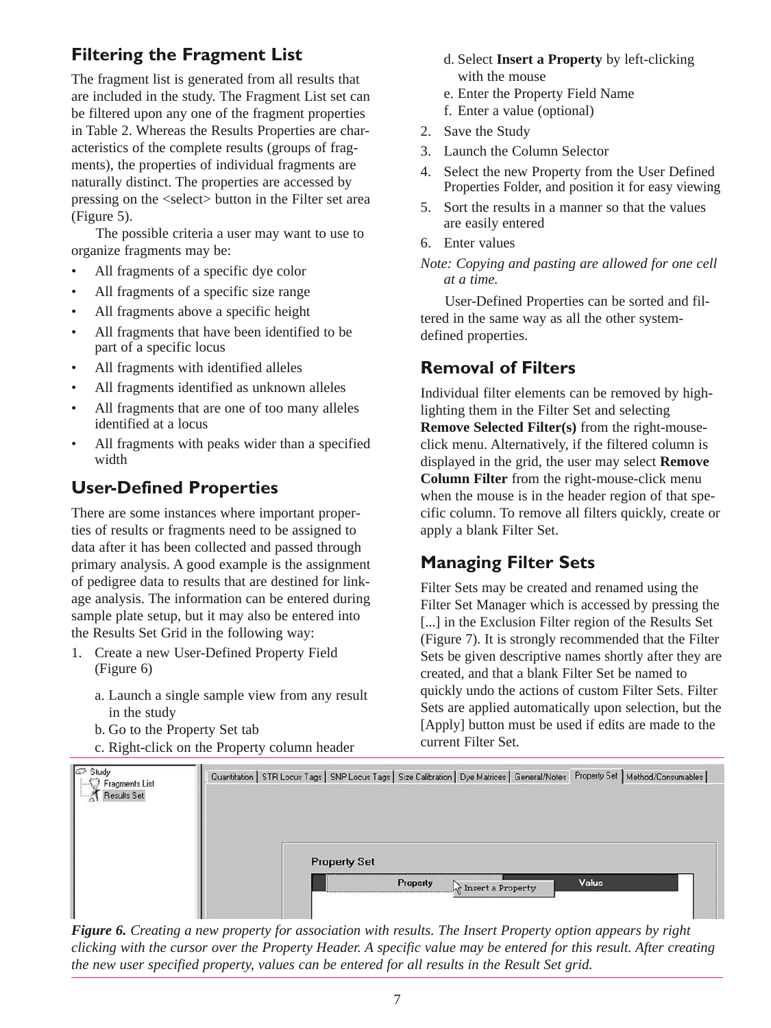## **Filtering the Fragment List**

The fragment list is generated from all results that are included in the study. The Fragment List set can be filtered upon any one of the fragment properties in Table 2. Whereas the Results Properties are characteristics of the complete results (groups of fragments), the properties of individual fragments are naturally distinct. The properties are accessed by pressing on the <select> button in the Filter set area (Figure 5).

The possible criteria a user may want to use to organize fragments may be:

- All fragments of a specific dye color
- All fragments of a specific size range
- All fragments above a specific height
- All fragments that have been identified to be part of a specific locus
- All fragments with identified alleles
- All fragments identified as unknown alleles
- All fragments that are one of too many alleles identified at a locus
- All fragments with peaks wider than a specified width

## **User-Defined Properties**

There are some instances where important properties of results or fragments need to be assigned to data after it has been collected and passed through primary analysis. A good example is the assignment of pedigree data to results that are destined for linkage analysis. The information can be entered during sample plate setup, but it may also be entered into the Results Set Grid in the following way:

- 1. Create a new User-Defined Property Field (Figure 6)
	- a. Launch a single sample view from any result in the study
	- b. Go to the Property Set tab
	- c. Right-click on the Property column header
- d. Select **Insert a Property** by left-clicking with the mouse
- e. Enter the Property Field Name
- f. Enter a value (optional)
- 2. Save the Study
- 3. Launch the Column Selector
- 4. Select the new Property from the User Defined Properties Folder, and position it for easy viewing
- 5. Sort the results in a manner so that the values are easily entered
- 6. Enter values

*Note: Copying and pasting are allowed for one cell at a time.*

User-Defined Properties can be sorted and filtered in the same way as all the other systemdefined properties.

## **Removal of Filters**

Individual filter elements can be removed by highlighting them in the Filter Set and selecting **Remove Selected Filter(s)** from the right-mouseclick menu. Alternatively, if the filtered column is displayed in the grid, the user may select **Remove Column Filter** from the right-mouse-click menu when the mouse is in the header region of that specific column. To remove all filters quickly, create or apply a blank Filter Set.

## **Managing Filter Sets**

Filter Sets may be created and renamed using the Filter Set Manager which is accessed by pressing the [...] in the Exclusion Filter region of the Results Set (Figure 7). It is strongly recommended that the Filter Sets be given descriptive names shortly after they are created, and that a blank Filter Set be named to quickly undo the actions of custom Filter Sets. Filter Sets are applied automatically upon selection, but the [Apply] button must be used if edits are made to the current Filter Set.



*Figure 6. Creating a new property for association with results. The Insert Property option appears by right clicking with the cursor over the Property Header. A specific value may be entered for this result. After creating the new user specified property, values can be entered for all results in the Result Set grid.*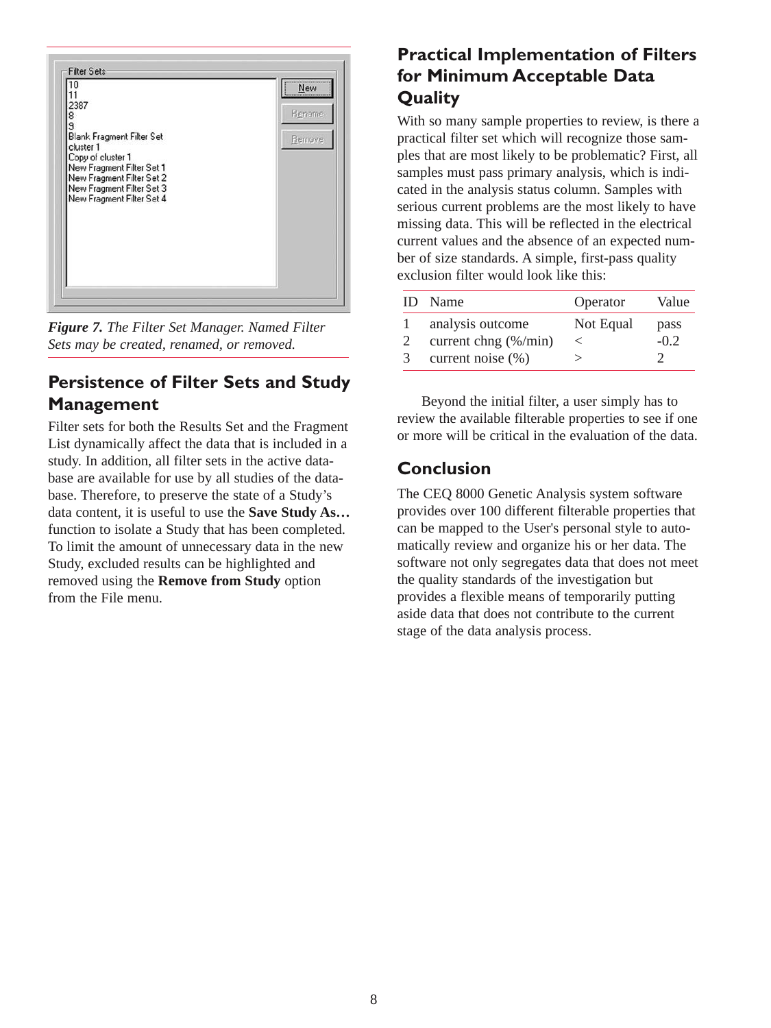

*Figure 7. The Filter Set Manager. Named Filter Sets may be created, renamed, or removed.*

## **Persistence of Filter Sets and Study Management**

Filter sets for both the Results Set and the Fragment List dynamically affect the data that is included in a study. In addition, all filter sets in the active database are available for use by all studies of the database. Therefore, to preserve the state of a Study's data content, it is useful to use the **Save Study As…** function to isolate a Study that has been completed. To limit the amount of unnecessary data in the new Study, excluded results can be highlighted and removed using the **Remove from Study** option from the File menu.

## **Practical Implementation of Filters for Minimum Acceptable Data Quality**

With so many sample properties to review, is there a practical filter set which will recognize those samples that are most likely to be problematic? First, all samples must pass primary analysis, which is indicated in the analysis status column. Samples with serious current problems are the most likely to have missing data. This will be reflected in the electrical current values and the absence of an expected number of size standards. A simple, first-pass quality exclusion filter would look like this:

| ID | Name                         | Operator  | Value  |
|----|------------------------------|-----------|--------|
|    | analysis outcome             | Not Equal | pass   |
|    | current chng $(\frac{M}{m})$ |           | $-0.2$ |
| 3  | current noise $(\% )$        |           |        |

Beyond the initial filter, a user simply has to review the available filterable properties to see if one or more will be critical in the evaluation of the data.

## **Conclusion**

The CEQ 8000 Genetic Analysis system software provides over 100 different filterable properties that can be mapped to the User's personal style to automatically review and organize his or her data. The software not only segregates data that does not meet the quality standards of the investigation but provides a flexible means of temporarily putting aside data that does not contribute to the current stage of the data analysis process.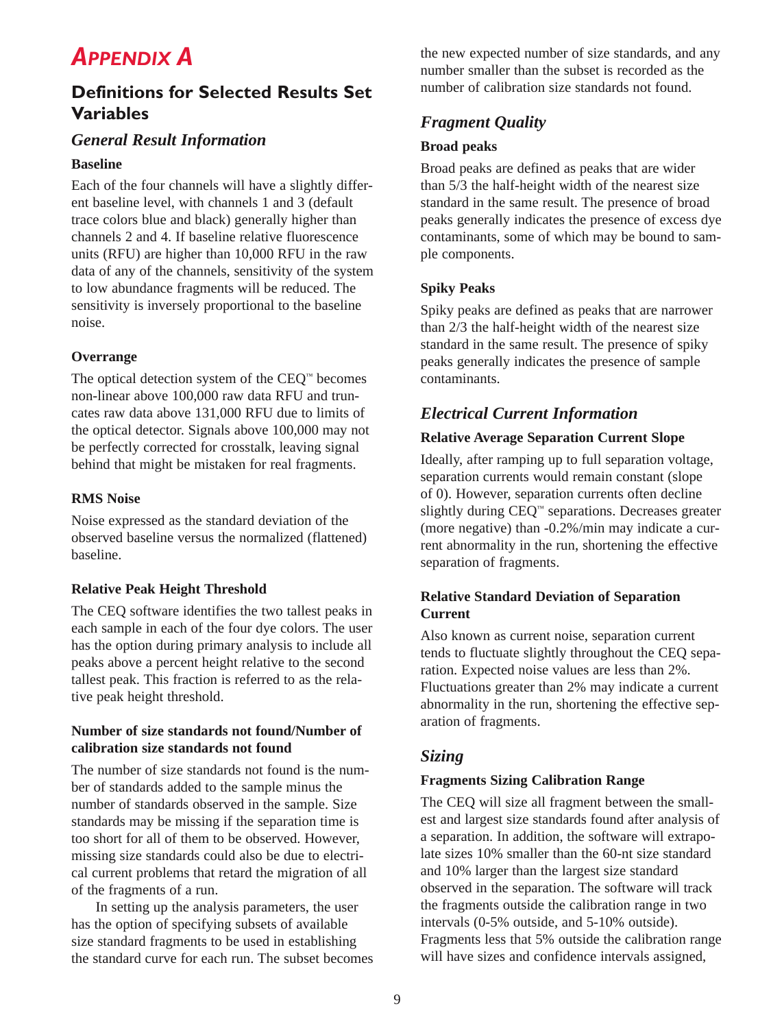## *APPENDIX A*

## **Definitions for Selected Results Set Variables**

## *General Result Information*

#### **Baseline**

Each of the four channels will have a slightly different baseline level, with channels 1 and 3 (default trace colors blue and black) generally higher than channels 2 and 4. If baseline relative fluorescence units (RFU) are higher than 10,000 RFU in the raw data of any of the channels, sensitivity of the system to low abundance fragments will be reduced. The sensitivity is inversely proportional to the baseline noise.

#### **Overrange**

The optical detection system of the CEQ™ becomes non-linear above 100,000 raw data RFU and truncates raw data above 131,000 RFU due to limits of the optical detector. Signals above 100,000 may not be perfectly corrected for crosstalk, leaving signal behind that might be mistaken for real fragments.

#### **RMS Noise**

Noise expressed as the standard deviation of the observed baseline versus the normalized (flattened) baseline.

### **Relative Peak Height Threshold**

The CEQ software identifies the two tallest peaks in each sample in each of the four dye colors. The user has the option during primary analysis to include all peaks above a percent height relative to the second tallest peak. This fraction is referred to as the relative peak height threshold.

#### **Number of size standards not found/Number of calibration size standards not found**

The number of size standards not found is the number of standards added to the sample minus the number of standards observed in the sample. Size standards may be missing if the separation time is too short for all of them to be observed. However, missing size standards could also be due to electrical current problems that retard the migration of all of the fragments of a run.

In setting up the analysis parameters, the user has the option of specifying subsets of available size standard fragments to be used in establishing the standard curve for each run. The subset becomes the new expected number of size standards, and any number smaller than the subset is recorded as the number of calibration size standards not found.

## *Fragment Quality*

#### **Broad peaks**

Broad peaks are defined as peaks that are wider than 5/3 the half-height width of the nearest size standard in the same result. The presence of broad peaks generally indicates the presence of excess dye contaminants, some of which may be bound to sample components.

#### **Spiky Peaks**

Spiky peaks are defined as peaks that are narrower than 2/3 the half-height width of the nearest size standard in the same result. The presence of spiky peaks generally indicates the presence of sample contaminants.

## *Electrical Current Information*

#### **Relative Average Separation Current Slope**

Ideally, after ramping up to full separation voltage, separation currents would remain constant (slope of 0). However, separation currents often decline slightly during CEQ™ separations. Decreases greater (more negative) than -0.2%/min may indicate a current abnormality in the run, shortening the effective separation of fragments.

#### **Relative Standard Deviation of Separation Current**

Also known as current noise, separation current tends to fluctuate slightly throughout the CEQ separation. Expected noise values are less than 2%. Fluctuations greater than 2% may indicate a current abnormality in the run, shortening the effective separation of fragments.

## *Sizing*

### **Fragments Sizing Calibration Range**

The CEQ will size all fragment between the smallest and largest size standards found after analysis of a separation. In addition, the software will extrapolate sizes 10% smaller than the 60-nt size standard and 10% larger than the largest size standard observed in the separation. The software will track the fragments outside the calibration range in two intervals (0-5% outside, and 5-10% outside). Fragments less that 5% outside the calibration range will have sizes and confidence intervals assigned,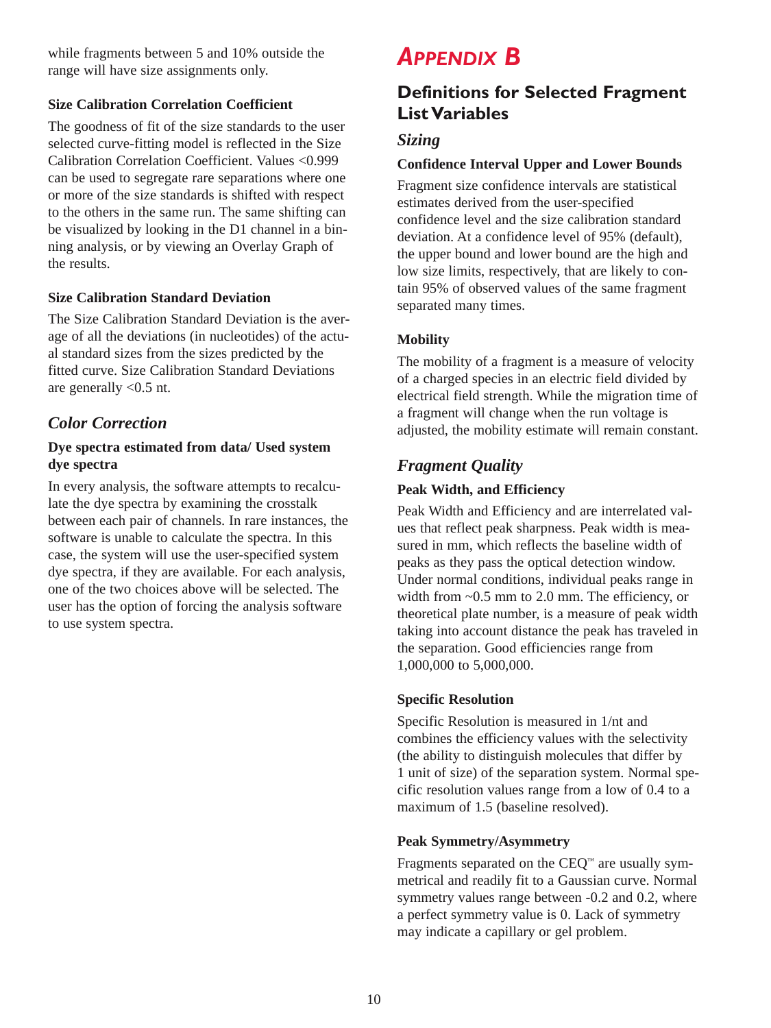while fragments between 5 and 10% outside the range will have size assignments only.

## **Size Calibration Correlation Coefficient**

The goodness of fit of the size standards to the user selected curve-fitting model is reflected in the Size Calibration Correlation Coefficient. Values <0.999 can be used to segregate rare separations where one or more of the size standards is shifted with respect to the others in the same run. The same shifting can be visualized by looking in the D1 channel in a binning analysis, or by viewing an Overlay Graph of the results.

### **Size Calibration Standard Deviation**

The Size Calibration Standard Deviation is the average of all the deviations (in nucleotides) of the actual standard sizes from the sizes predicted by the fitted curve. Size Calibration Standard Deviations are generally <0.5 nt.

## *Color Correction*

### **Dye spectra estimated from data/ Used system dye spectra**

In every analysis, the software attempts to recalculate the dye spectra by examining the crosstalk between each pair of channels. In rare instances, the software is unable to calculate the spectra. In this case, the system will use the user-specified system dye spectra, if they are available. For each analysis, one of the two choices above will be selected. The user has the option of forcing the analysis software to use system spectra.

## *APPENDIX B*

## **Definitions for Selected Fragment List Variables**

## *Sizing*

## **Confidence Interval Upper and Lower Bounds**

Fragment size confidence intervals are statistical estimates derived from the user-specified confidence level and the size calibration standard deviation. At a confidence level of 95% (default), the upper bound and lower bound are the high and low size limits, respectively, that are likely to contain 95% of observed values of the same fragment separated many times.

## **Mobility**

The mobility of a fragment is a measure of velocity of a charged species in an electric field divided by electrical field strength. While the migration time of a fragment will change when the run voltage is adjusted, the mobility estimate will remain constant.

## *Fragment Quality*

### **Peak Width, and Efficiency**

Peak Width and Efficiency and are interrelated values that reflect peak sharpness. Peak width is measured in mm, which reflects the baseline width of peaks as they pass the optical detection window. Under normal conditions, individual peaks range in width from  $\sim 0.5$  mm to 2.0 mm. The efficiency, or theoretical plate number, is a measure of peak width taking into account distance the peak has traveled in the separation. Good efficiencies range from 1,000,000 to 5,000,000.

### **Specific Resolution**

Specific Resolution is measured in 1/nt and combines the efficiency values with the selectivity (the ability to distinguish molecules that differ by 1 unit of size) of the separation system. Normal specific resolution values range from a low of 0.4 to a maximum of 1.5 (baseline resolved).

### **Peak Symmetry/Asymmetry**

Fragments separated on the  $CEQ<sup>m</sup>$  are usually symmetrical and readily fit to a Gaussian curve. Normal symmetry values range between -0.2 and 0.2, where a perfect symmetry value is 0. Lack of symmetry may indicate a capillary or gel problem.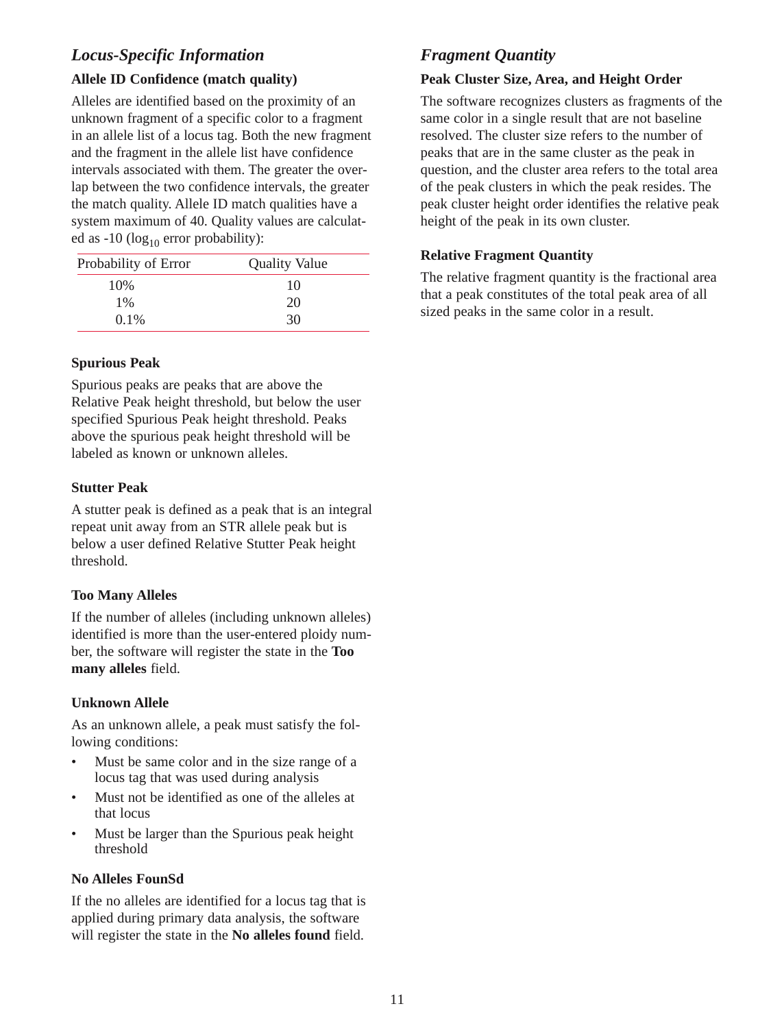## *Locus-Specific Information*

#### **Allele ID Confidence (match quality)**

Alleles are identified based on the proximity of an unknown fragment of a specific color to a fragment in an allele list of a locus tag. Both the new fragment and the fragment in the allele list have confidence intervals associated with them. The greater the overlap between the two confidence intervals, the greater the match quality. Allele ID match qualities have a system maximum of 40. Quality values are calculated as  $-10$  (log<sub>10</sub> error probability):

| Probability of Error | <b>Quality Value</b> |
|----------------------|----------------------|
| 10%                  | 10                   |
| $1\%$                | 20                   |
| $0.1\%$              | 30                   |

#### **Spurious Peak**

Spurious peaks are peaks that are above the Relative Peak height threshold, but below the user specified Spurious Peak height threshold. Peaks above the spurious peak height threshold will be labeled as known or unknown alleles.

#### **Stutter Peak**

A stutter peak is defined as a peak that is an integral repeat unit away from an STR allele peak but is below a user defined Relative Stutter Peak height threshold.

### **Too Many Alleles**

If the number of alleles (including unknown alleles) identified is more than the user-entered ploidy number, the software will register the state in the **Too many alleles** field.

### **Unknown Allele**

As an unknown allele, a peak must satisfy the following conditions:

- Must be same color and in the size range of a locus tag that was used during analysis
- Must not be identified as one of the alleles at that locus
- Must be larger than the Spurious peak height threshold

### **No Alleles FounSd**

If the no alleles are identified for a locus tag that is applied during primary data analysis, the software will register the state in the **No alleles found** field.

## *Fragment Quantity*

### **Peak Cluster Size, Area, and Height Order**

The software recognizes clusters as fragments of the same color in a single result that are not baseline resolved. The cluster size refers to the number of peaks that are in the same cluster as the peak in question, and the cluster area refers to the total area of the peak clusters in which the peak resides. The peak cluster height order identifies the relative peak height of the peak in its own cluster.

#### **Relative Fragment Quantity**

The relative fragment quantity is the fractional area that a peak constitutes of the total peak area of all sized peaks in the same color in a result.